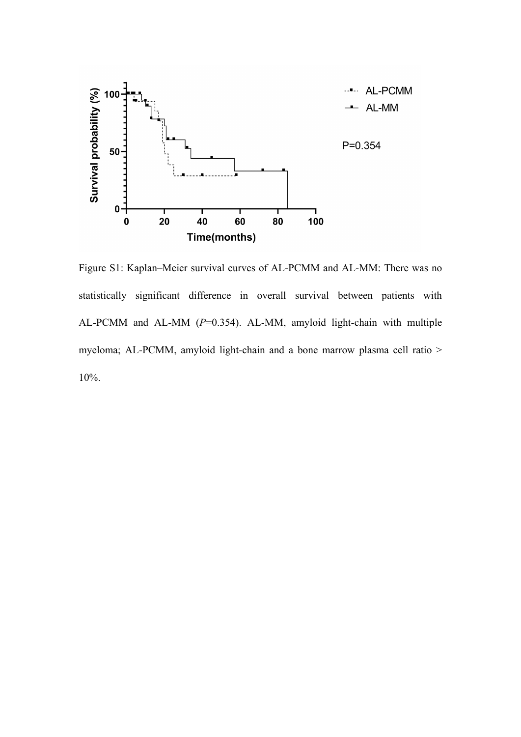

Figure S1: Kaplan–Meier survival curves of AL-PCMM and AL-MM: There was no statistically significant difference in overall survival between patients with AL-PCMM and AL-MM (*P*=0.354). AL-MM, amyloid light-chain with multiple myeloma; AL-PCMM, amyloid light-chain and a bone marrow plasma cell ratio > 10%.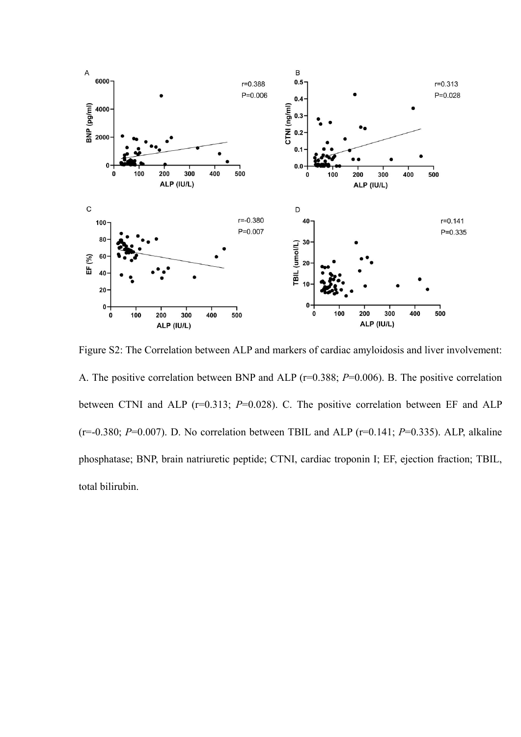

Figure S2: The Correlation between ALP and markers of cardiac amyloidosis and liver involvement: A. The positive correlation between BNP and ALP (r=0.388; *P*=0.006). B. The positive correlation between CTNI and ALP (r=0.313; *P*=0.028). C. The positive correlation between EF and ALP (r=-0.380; *P*=0.007). D. No correlation between TBIL and ALP (r=0.141; *P*=0.335). ALP, alkaline phosphatase; BNP, brain natriuretic peptide; CTNI, cardiac troponin I; EF, ejection fraction; TBIL, total bilirubin.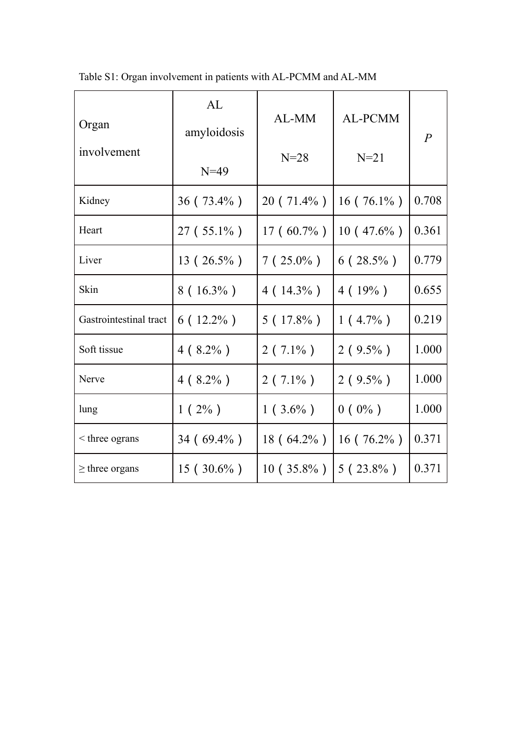| Organ<br>involvement   | AL<br>amyloidosis<br>$N=49$ | AL-MM<br>$N=28$ | AL-PCMM<br>$N=21$ | $\overline{P}$ |
|------------------------|-----------------------------|-----------------|-------------------|----------------|
| Kidney                 | $36(73.4\%)$                | $20(71.4\%)$    | $16(76.1\%)$      | 0.708          |
| Heart                  | $27(55.1\%)$                | $17(60.7\%)$    | $10(47.6\%)$      | 0.361          |
| Liver                  | $13(26.5\%)$                | $7(25.0\%)$     | $6(28.5\%)$       | 0.779          |
| Skin                   | $8(16.3\%)$                 | 4 ( $14.3\%$ )  | 4(19%)            | 0.655          |
| Gastrointestinal tract | $6(12.2\%)$                 | $5(17.8\%)$     | $1(4.7\%)$        | 0.219          |
| Soft tissue            | $4(8.2\%)$                  | $2(7.1\%)$      | $2(9.5\%)$        | 1.000          |
| Nerve                  | $4 (8.2\%)$                 | $2(7.1\%)$      | $2(9.5\%)$        | 1.000          |
| lung                   | $1(2\%)$                    | $1(3.6\%)$      | $0 (0\%)$         | 1.000          |
| $\leq$ three ograns    | $34(69.4\%)$                | 18 (64.2%)      | 16 ( $76.2\%$ )   | 0.371          |
| $\geq$ three organs    | $15(30.6\%)$                | $10(35.8\%)$    | $5(23.8\%)$       | 0.371          |

Table S1: Organ involvement in patients with AL-PCMM and AL-MM